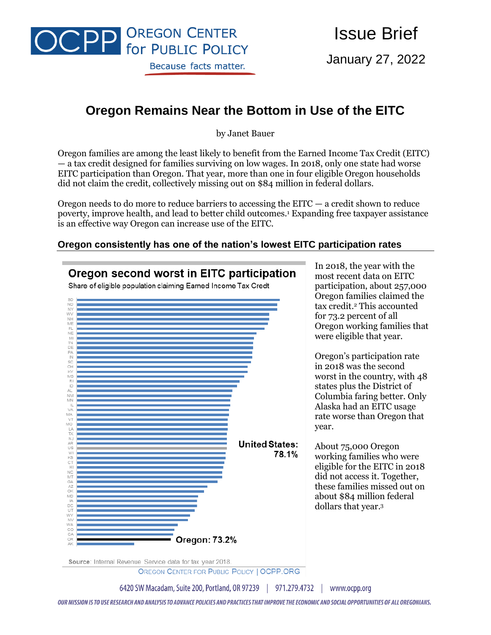

Issue Brief

January 27, 2022

# **Oregon Remains Near the Bottom in Use of the EITC**

by Janet Bauer

Oregon families are among the least likely to benefit from the Earned Income Tax Credit (EITC) — a tax credit designed for families surviving on low wages. In 2018, only one state had worse EITC participation than Oregon. That year, more than one in four eligible Oregon households did not claim the credit, collectively missing out on \$84 million in federal dollars.

Oregon needs to do more to reduce barriers to accessing the  $EITC - a$  credit shown to reduce poverty, improve health, and lead to better child outcomes.<sup>1</sup> Expanding free taxpayer assistance is an effective way Oregon can increase use of the EITC.

#### **Oregon consistently has one of the nation's lowest EITC participation rates**



Source: Internal Revenue Service data for tax year 2018.

OREGON CENTER FOR PUBLIC POLICY | OCPP.ORG

6420 SW Macadam, Suite 200, Portland, OR 97239 | 971.279.4732 | www.ocpp.org

OUR MISSION IS TO USE RESEARCH AND ANALYSIS TO ADVANCE POLICIES AND PRACTICES THAT IMPROVE THE ECONOMIC AND SOCIAL OPPORTUNITIES OF ALL OREGONIANS.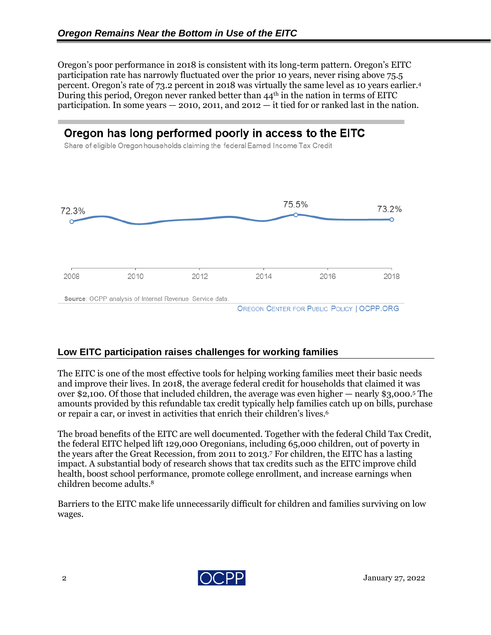Oregon's poor performance in 2018 is consistent with its long-term pattern. Oregon's EITC participation rate has narrowly fluctuated over the prior 10 years, never rising above 75.5 percent. Oregon's rate of 73.2 percent in 2018 was virtually the same level as 10 years earlier.<sup>4</sup> During this period, Oregon never ranked better than  $44<sup>th</sup>$  in the nation in terms of EITC participation. In some years  $-2010$ , 2011, and 2012  $-$  it tied for or ranked last in the nation.

## Oregon has long performed poorly in access to the EITC

Share of eligible Oregon households claiming the federal Earned Income Tax Credit



#### **Low EITC participation raises challenges for working families**

The EITC is one of the most effective tools for helping working families meet their basic needs and improve their lives. In 2018, the average federal credit for households that claimed it was over \$2,100. Of those that included children, the average was even higher — nearly \$3,000. <sup>5</sup> The amounts provided by this refundable tax credit typically help families catch up on bills, purchase or repair a car, or invest in activities that enrich their children's lives. 6

The broad benefits of the EITC are well documented. Together with the federal Child Tax Credit, the federal EITC helped lift 129,000 Oregonians, including 65,000 children, out of poverty in the years after the Great Recession, from 2011 to 2013.<sup>7</sup> For children, the EITC has a lasting impact. A substantial body of research shows that tax credits such as the EITC improve child health, boost school performance, promote college enrollment, and increase earnings when children become adults.<sup>8</sup>

Barriers to the EITC make life unnecessarily difficult for children and families surviving on low wages.

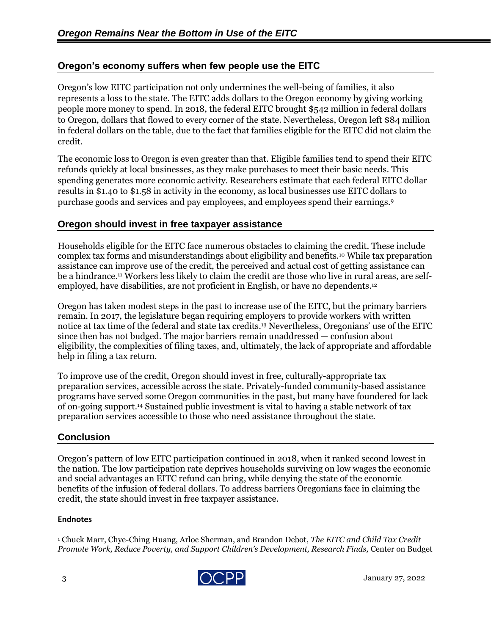### **Oregon's economy suffers when few people use the EITC**

Oregon's low EITC participation not only undermines the well-being of families, it also represents a loss to the state. The EITC adds dollars to the Oregon economy by giving working people more money to spend. In 2018, the federal EITC brought \$542 million in federal dollars to Oregon, dollars that flowed to every corner of the state. Nevertheless, Oregon left \$84 million in federal dollars on the table, due to the fact that families eligible for the EITC did not claim the credit.

The economic loss to Oregon is even greater than that. Eligible families tend to spend their EITC refunds quickly at local businesses, as they make purchases to meet their basic needs. This spending generates more economic activity. Researchers estimate that each federal EITC dollar results in \$1.40 to \$1.58 in activity in the economy, as local businesses use EITC dollars to purchase goods and services and pay employees, and employees spend their earnings.<sup>9</sup>

#### **Oregon should invest in free taxpayer assistance**

Households eligible for the EITC face numerous obstacles to claiming the credit. These include complex tax forms and misunderstandings about eligibility and benefits.<sup>10</sup> While tax preparation assistance can improve use of the credit, the perceived and actual cost of getting assistance can be a hindrance.<sup>11</sup> Workers less likely to claim the credit are those who live in rural areas, are selfemployed, have disabilities, are not proficient in English, or have no dependents. 12

Oregon has taken modest steps in the past to increase use of the EITC, but the primary barriers remain. In 2017, the legislature began requiring employers to provide workers with written notice at tax time of the federal and state tax credits.<sup>13</sup> Nevertheless, Oregonians' use of the EITC since then has not budged. The major barriers remain unaddressed — confusion about eligibility, the complexities of filing taxes, and, ultimately, the lack of appropriate and affordable help in filing a tax return.

To improve use of the credit, Oregon should invest in free, culturally-appropriate tax preparation services, accessible across the state. Privately-funded community-based assistance programs have served some Oregon communities in the past, but many have foundered for lack of on-going support. <sup>14</sup> Sustained public investment is vital to having a stable network of tax preparation services accessible to those who need assistance throughout the state.

#### **Conclusion**

Oregon's pattern of low EITC participation continued in 2018, when it ranked second lowest in the nation. The low participation rate deprives households surviving on low wages the economic and social advantages an EITC refund can bring, while denying the state of the economic benefits of the infusion of federal dollars. To address barriers Oregonians face in claiming the credit, the state should invest in free taxpayer assistance.

#### **Endnotes**

<sup>1</sup> Chuck Marr, Chye-Ching Huang, Arloc Sherman, and Brandon Debot, *The EITC and Child Tax Credit Promote Work, Reduce Poverty, and Support Children's Development, Research Finds,* Center on Budget

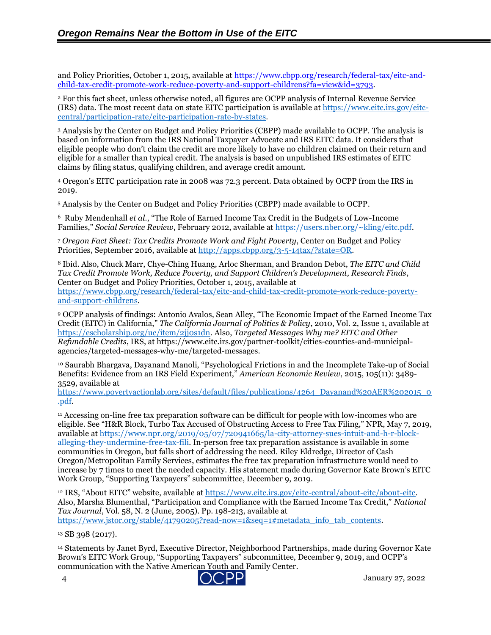and Policy Priorities, October 1, 2015, available at [https://www.cbpp.org/research/federal-tax/eitc-and](https://www.cbpp.org/research/federal-tax/eitc-and-child-tax-credit-promote-work-reduce-poverty-and-support-childrens?fa=view&id=3793)[child-tax-credit-promote-work-reduce-poverty-and-support-childrens?fa=view&id=3793.](https://www.cbpp.org/research/federal-tax/eitc-and-child-tax-credit-promote-work-reduce-poverty-and-support-childrens?fa=view&id=3793)

<sup>2</sup> For this fact sheet, unless otherwise noted, all figures are OCPP analysis of Internal Revenue Service (IRS) data. The most recent data on state EITC participation is available a[t https://www.eitc.irs.gov/eitc](https://www.eitc.irs.gov/eitc-central/participation-rate/eitc-participation-rate-by-states)[central/participation-rate/eitc-participation-rate-by-states.](https://www.eitc.irs.gov/eitc-central/participation-rate/eitc-participation-rate-by-states)

<sup>3</sup> Analysis by the Center on Budget and Policy Priorities (CBPP) made available to OCPP. The analysis is based on information from the IRS National Taxpayer Advocate and IRS EITC data. It considers that eligible people who don't claim the credit are more likely to have no children claimed on their return and eligible for a smaller than typical credit. The analysis is based on unpublished IRS estimates of EITC claims by filing status, qualifying children, and average credit amount.

<sup>4</sup> Oregon's EITC participation rate in 2008 was 72.3 percent. Data obtained by OCPP from the IRS in 2019.

<sup>5</sup> Analysis by the Center on Budget and Policy Priorities (CBPP) made available to OCPP.

<sup>6</sup> Ruby Mendenhall *et al.*, "The Role of Earned Income Tax Credit in the Budgets of Low-Income Families," *Social Service Review*, February 2012, available at [https://users.nber.org/~kling/eitc.pdf.](https://users.nber.org/~kling/eitc.pdf)

<sup>7</sup> *Oregon Fact Sheet: Tax Credits Promote Work and Fight Poverty*, Center on Budget and Policy Priorities, September 2016, available at [http://apps.cbpp.org/3-5-14tax/?state=OR.](http://apps.cbpp.org/3-5-14tax/?state=OR)

<sup>8</sup> Ibid. Also, Chuck Marr, Chye-Ching Huang, Arloc Sherman, and Brandon Debot, *The EITC and Child Tax Credit Promote Work, Reduce Poverty, and Support Children's Development, Research Finds*, Center on Budget and Policy Priorities, October 1, 2015, available at [https://www.cbpp.org/research/federal-tax/eitc-and-child-tax-credit-promote-work-reduce-poverty](https://www.cbpp.org/research/federal-tax/eitc-and-child-tax-credit-promote-work-reduce-poverty-and-support-childrens)[and-support-childrens.](https://www.cbpp.org/research/federal-tax/eitc-and-child-tax-credit-promote-work-reduce-poverty-and-support-childrens)

<sup>9</sup> OCPP analysis of findings: Antonio Avalos, Sean Alley, "The Economic Impact of the Earned Income Tax Credit (EITC) in California," *The California Journal of Politics & Policy*, 2010, Vol. 2, Issue 1, available at [https://escholarship.org/uc/item/2jj0s1dn.](https://escholarship.org/uc/item/2jj0s1dn) Also, *Targeted Messages Why me? EITC and Other Refundable Credits*, IRS, at https://www.eitc.irs.gov/partner-toolkit/cities-counties-and-municipalagencies/targeted-messages-why-me/targeted-messages.

<sup>10</sup> Saurabh Bhargava, Dayanand Manoli, "Psychological Frictions in and the Incomplete Take-up of Social Benefits: Evidence from an IRS Field Experiment," *American Economic Review*, 2015, 105(11): 3489- 3529, available at

[https://www.povertyactionlab.org/sites/default/files/publications/4264\\_Dayanand%20AER%202015\\_0](https://www.povertyactionlab.org/sites/default/files/publications/4264_Dayanand%20AER%202015_0.pdf) [.pdf.](https://www.povertyactionlab.org/sites/default/files/publications/4264_Dayanand%20AER%202015_0.pdf)

<sup>11</sup> Accessing on-line free tax preparation software can be difficult for people with low-incomes who are eligible. See "H&R Block, Turbo Tax Accused of Obstructing Access to Free Tax Filing," NPR, May 7, 2019, available at [https://www.npr.org/2019/05/07/720941665/la-city-attorney-sues-intuit-and-h-r-block](https://www.npr.org/2019/05/07/720941665/la-city-attorney-sues-intuit-and-h-r-block-alleging-they-undermine-free-tax-fili)[alleging-they-undermine-free-tax-fili.](https://www.npr.org/2019/05/07/720941665/la-city-attorney-sues-intuit-and-h-r-block-alleging-they-undermine-free-tax-fili) In-person free tax preparation assistance is available in some communities in Oregon, but falls short of addressing the need. Riley Eldredge, Director of Cash Oregon/Metropolitan Family Services, estimates the free tax preparation infrastructure would need to increase by 7 times to meet the needed capacity. His statement made during Governor Kate Brown's EITC Work Group, "Supporting Taxpayers" subcommittee, December 9, 2019.

<sup>12</sup> IRS, "About EITC" website, available at [https://www.eitc.irs.gov/eitc-central/about-eitc/about-eitc.](https://www.eitc.irs.gov/eitc-central/about-eitc/about-eitc) Also, Marsha Blumenthal, "Participation and Compliance with the Earned Income Tax Credit," *National Tax Journal*, Vol. 58, N. 2 (June, 2005). Pp. 198-213, available at [https://www.jstor.org/stable/41790205?read-now=1&seq=1#metadata\\_info\\_tab\\_contents.](https://www.jstor.org/stable/41790205?read-now=1&seq=1#metadata_info_tab_contents)

<sup>13</sup> SB 398 (2017).

<sup>14</sup> Statements by Janet Byrd, Executive Director, Neighborhood Partnerships, made during Governor Kate Brown's EITC Work Group, "Supporting Taxpayers" subcommittee, December 9, 2019, and OCPP's communication with the Native American Youth and Family Center.